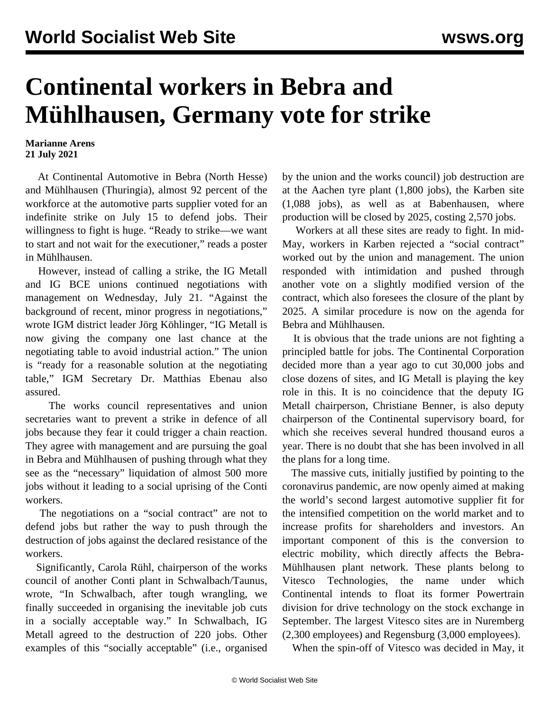## **Continental workers in Bebra and Mühlhausen, Germany vote for strike**

## **Marianne Arens 21 July 2021**

 At Continental Automotive in Bebra (North Hesse) and Mühlhausen (Thuringia), almost 92 percent of the workforce at the automotive parts supplier voted for an indefinite strike on July 15 to defend jobs. Their willingness to fight is huge. "Ready to strike—we want to start and not wait for the executioner," reads a poster in Mühlhausen.

 However, instead of calling a strike, the IG Metall and IG BCE unions continued negotiations with management on Wednesday, July 21. "Against the background of recent, minor progress in negotiations," wrote IGM district leader Jörg Köhlinger, "IG Metall is now giving the company one last chance at the negotiating table to avoid industrial action." The union is "ready for a reasonable solution at the negotiating table," IGM Secretary Dr. Matthias Ebenau also assured.

 The works council representatives and union secretaries want to prevent a strike in defence of all jobs because they fear it could trigger a chain reaction. They agree with management and are pursuing the goal in Bebra and Mühlhausen of pushing through what they see as the "necessary" liquidation of almost 500 more jobs without it leading to a social uprising of the Conti workers.

 The negotiations on a "social contract" are not to defend jobs but rather the way to push through the destruction of jobs against the declared resistance of the workers.

 Significantly, Carola Rühl, chairperson of the works council of another Conti plant in Schwalbach/Taunus, wrote, "In Schwalbach, after tough wrangling, we finally succeeded in organising the inevitable job cuts in a socially acceptable way." In Schwalbach, IG Metall agreed to the destruction of 220 jobs. Other examples of this "socially acceptable" (i.e., organised by the union and the works council) job destruction are at the Aachen tyre plant (1,800 jobs), the Karben site (1,088 jobs), as well as at Babenhausen, where production will be closed by 2025, costing 2,570 jobs.

 Workers at all these sites are ready to fight. In mid-May, workers in Karben rejected a "social contract" worked out by the union and management. The union responded with intimidation and pushed through another [vote](/en/articles/2021/06/14/karb-j14.html) on a slightly modified version of the contract, which also foresees the closure of the plant by 2025. A similar procedure is now on the agenda for Bebra and Mühlhausen.

 It is obvious that the trade unions are not fighting a principled battle for jobs. The Continental Corporation decided more than a year ago to cut 30,000 jobs and close dozens of sites, and IG Metall is playing the key role in this. It is no coincidence that the deputy IG Metall chairperson, Christiane Benner, is also deputy chairperson of the Continental supervisory board, for which she receives several hundred thousand euros a year. There is no doubt that she has been involved in all the plans for a long time.

 The massive cuts, initially justified by pointing to the coronavirus pandemic, are now openly aimed at making the world's second largest automotive supplier fit for the intensified competition on the world market and to increase profits for shareholders and investors. An important component of this is the conversion to electric mobility, which directly affects the Bebra-Mühlhausen plant network. These plants belong to Vitesco Technologies, the name under which Continental intends to float its former Powertrain division for drive technology on the stock exchange in September. The largest Vitesco sites are in Nuremberg (2,300 employees) and Regensburg (3,000 employees).

When the spin-off of Vitesco was decided in May, it